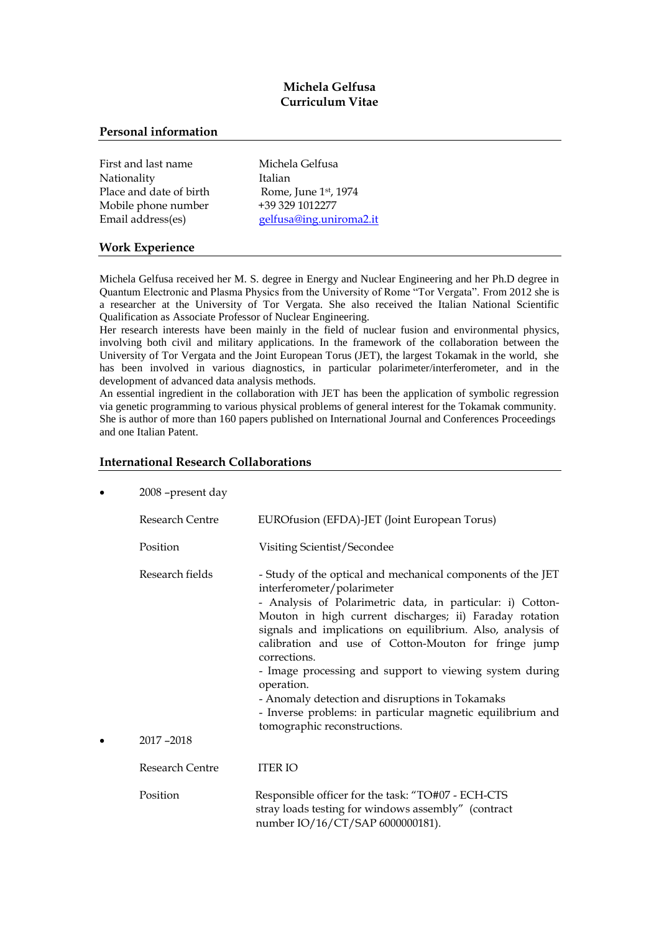# **Michela Gelfusa Curriculum Vitae**

### **Personal information**

| First and last name     |
|-------------------------|
| Nationality             |
| Place and date of birth |
| Mobile phone number     |
| Email address(es)       |

Michela Gelfusa Italian Rome, June 1st, 1974 +39 329 1012277 [gelfusa@ing.uniroma2.it](mailto:gelfusa@ing.uniroma2.it)

### **Work Experience**

Michela Gelfusa received her M. S. degree in Energy and Nuclear Engineering and her Ph.D degree in Quantum Electronic and Plasma Physics from the University of Rome "Tor Vergata". From 2012 she is a researcher at the University of Tor Vergata. She also received the Italian National Scientific Qualification as Associate Professor of Nuclear Engineering.

Her research interests have been mainly in the field of nuclear fusion and environmental physics, involving both civil and military applications. In the framework of the collaboration between the University of Tor Vergata and the Joint European Torus (JET), the largest Tokamak in the world, she has been involved in various diagnostics, in particular polarimeter/interferometer, and in the development of advanced data analysis methods.

An essential ingredient in the collaboration with JET has been the application of symbolic regression via genetic programming to various physical problems of general interest for the Tokamak community. She is author of more than 160 papers published on International Journal and Conferences Proceedings and one Italian Patent.

## **International Research Collaborations**

| 2008 - present day           |                                                                                                                                                                                                                                                                                                                                                                                                                                                                                                                                                                                    |
|------------------------------|------------------------------------------------------------------------------------------------------------------------------------------------------------------------------------------------------------------------------------------------------------------------------------------------------------------------------------------------------------------------------------------------------------------------------------------------------------------------------------------------------------------------------------------------------------------------------------|
| Research Centre              | EUROfusion (EFDA)-JET (Joint European Torus)                                                                                                                                                                                                                                                                                                                                                                                                                                                                                                                                       |
| Position                     | Visiting Scientist/Secondee                                                                                                                                                                                                                                                                                                                                                                                                                                                                                                                                                        |
| Research fields<br>2017-2018 | - Study of the optical and mechanical components of the JET<br>interferometer/polarimeter<br>- Analysis of Polarimetric data, in particular: i) Cotton-<br>Mouton in high current discharges; ii) Faraday rotation<br>signals and implications on equilibrium. Also, analysis of<br>calibration and use of Cotton-Mouton for fringe jump<br>corrections.<br>- Image processing and support to viewing system during<br>operation.<br>- Anomaly detection and disruptions in Tokamaks<br>- Inverse problems: in particular magnetic equilibrium and<br>tomographic reconstructions. |
| <b>Research Centre</b>       | <b>ITER IO</b>                                                                                                                                                                                                                                                                                                                                                                                                                                                                                                                                                                     |
| Position                     | Responsible officer for the task: "TO#07 - ECH-CTS<br>stray loads testing for windows assembly" (contract<br>number IO/16/CT/SAP 6000000181).                                                                                                                                                                                                                                                                                                                                                                                                                                      |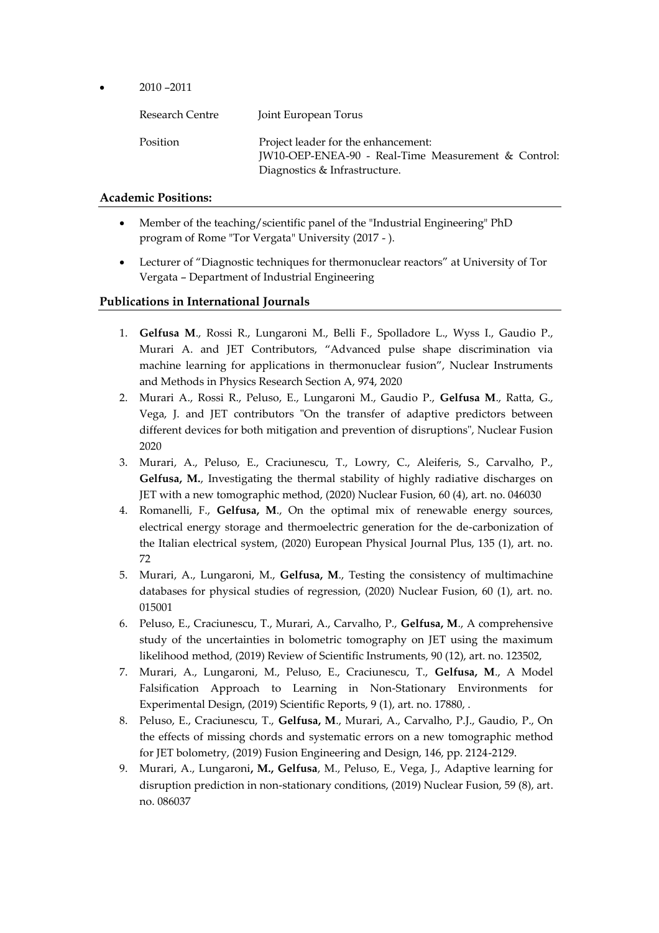2010 –2011

| Research Centre | Joint European Torus                                                                                                        |
|-----------------|-----------------------------------------------------------------------------------------------------------------------------|
| Position        | Project leader for the enhancement:<br>JW10-OEP-ENEA-90 - Real-Time Measurement & Control:<br>Diagnostics & Infrastructure. |

# **Academic Positions:**

- Member of the teaching/scientific panel of the "Industrial Engineering" PhD program of Rome "Tor Vergata" University (2017 - ).
- Lecturer of "Diagnostic techniques for thermonuclear reactors" at University of Tor Vergata – Department of Industrial Engineering

# **Publications in International Journals**

- 1. **Gelfusa M**., Rossi R., Lungaroni M., Belli F., Spolladore L., Wyss I., Gaudio P., Murari A. and JET Contributors, "Advanced pulse shape discrimination via machine learning for applications in thermonuclear fusion", Nuclear Instruments and Methods in Physics Research Section A, 974, 2020
- 2. Murari A., Rossi R., Peluso, E., Lungaroni M., Gaudio P., **Gelfusa M**., Ratta, G., Vega, J. and JET contributors "On the transfer of adaptive predictors between different devices for both mitigation and prevention of disruptions", Nuclear Fusion 2020
- 3. Murari, A., Peluso, E., Craciunescu, T., Lowry, C., Aleiferis, S., Carvalho, P., **Gelfusa, M.**, Investigating the thermal stability of highly radiative discharges on JET with a new tomographic method, (2020) Nuclear Fusion, 60 (4), art. no. 046030
- 4. Romanelli, F., **Gelfusa, M**., On the optimal mix of renewable energy sources, electrical energy storage and thermoelectric generation for the de-carbonization of the Italian electrical system, (2020) European Physical Journal Plus, 135 (1), art. no. 72
- 5. Murari, A., Lungaroni, M., **Gelfusa, M**., Testing the consistency of multimachine databases for physical studies of regression, (2020) Nuclear Fusion, 60 (1), art. no. 015001
- 6. Peluso, E., Craciunescu, T., Murari, A., Carvalho, P., **Gelfusa, M**., A comprehensive study of the uncertainties in bolometric tomography on JET using the maximum likelihood method, (2019) Review of Scientific Instruments, 90 (12), art. no. 123502,
- 7. Murari, A., Lungaroni, M., Peluso, E., Craciunescu, T., **Gelfusa, M**., A Model Falsification Approach to Learning in Non-Stationary Environments for Experimental Design, (2019) Scientific Reports, 9 (1), art. no. 17880, .
- 8. Peluso, E., Craciunescu, T., **Gelfusa, M**., Murari, A., Carvalho, P.J., Gaudio, P., On the effects of missing chords and systematic errors on a new tomographic method for JET bolometry, (2019) Fusion Engineering and Design, 146, pp. 2124-2129.
- 9. Murari, A., Lungaroni**, M., Gelfusa**, M., Peluso, E., Vega, J., Adaptive learning for disruption prediction in non-stationary conditions, (2019) Nuclear Fusion, 59 (8), art. no. 086037